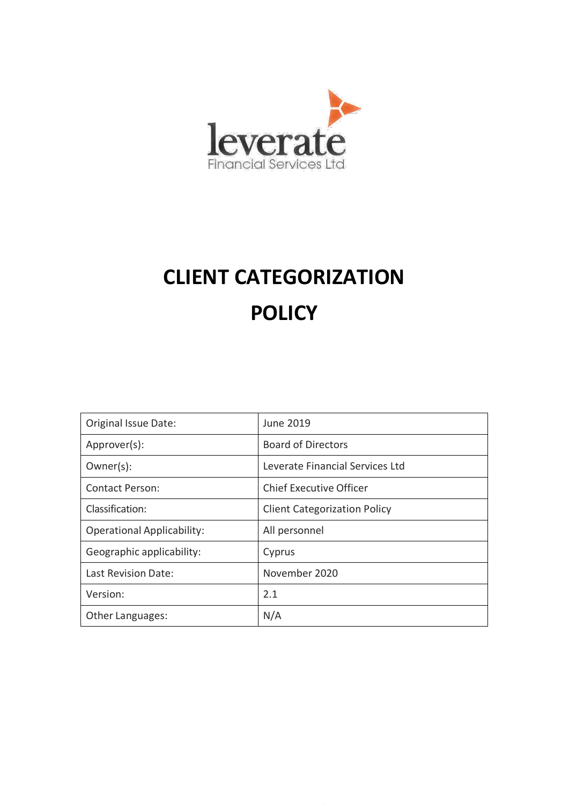

# **CLIENT CATEGORIZATION POLICY**

| Original Issue Date:              | <b>June 2019</b>                    |
|-----------------------------------|-------------------------------------|
| Approver(s):                      | <b>Board of Directors</b>           |
| $Owner(s)$ :                      | Leverate Financial Services Ltd     |
| Contact Person:                   | <b>Chief Executive Officer</b>      |
| Classification:                   | <b>Client Categorization Policy</b> |
| <b>Operational Applicability:</b> | All personnel                       |
| Geographic applicability:         | Cyprus                              |
| Last Revision Date:               | November 2020                       |
| Version:                          | 2.1                                 |
| Other Languages:                  | N/A                                 |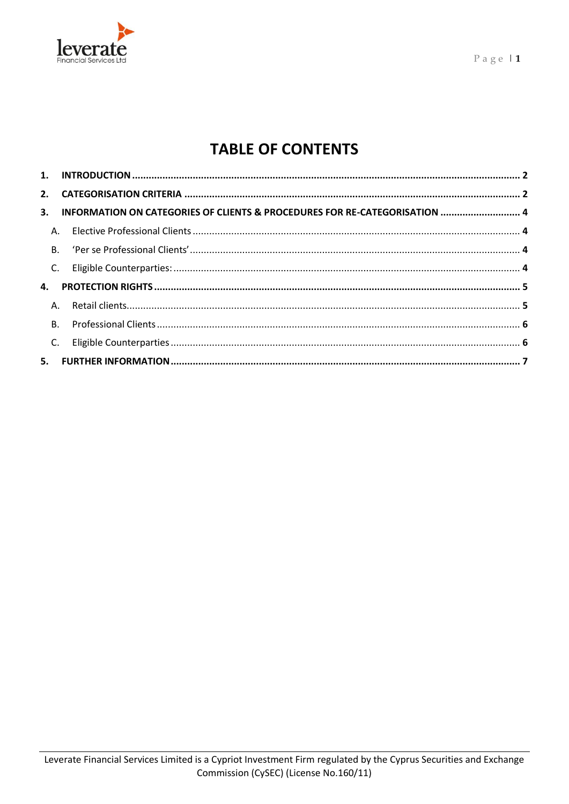

# **TABLE OF CONTENTS**

|                | 3. INFORMATION ON CATEGORIES OF CLIENTS & PROCEDURES FOR RE-CATEGORISATION  4 |  |
|----------------|-------------------------------------------------------------------------------|--|
|                |                                                                               |  |
|                |                                                                               |  |
|                |                                                                               |  |
|                |                                                                               |  |
|                |                                                                               |  |
| <b>B.</b>      |                                                                               |  |
| C <sub>1</sub> |                                                                               |  |
|                |                                                                               |  |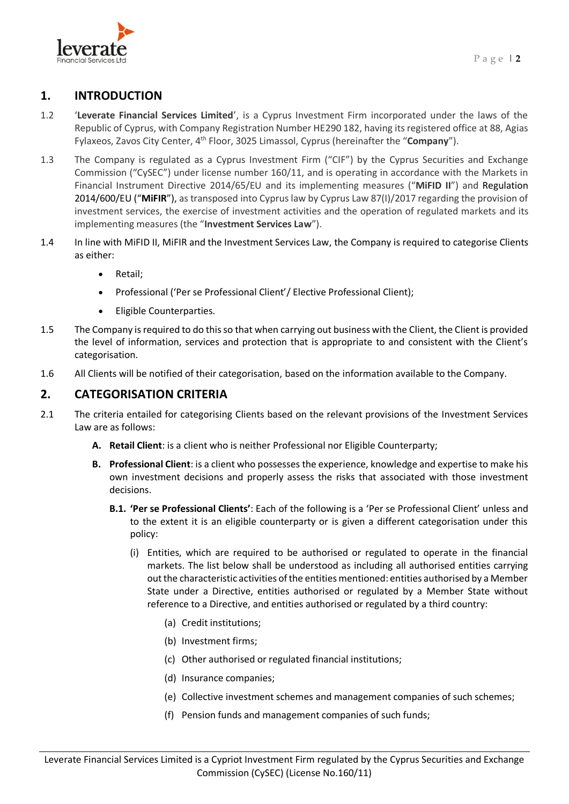

# <span id="page-2-0"></span>**1. INTRODUCTION**

- 1.2 '**Leverate Financial Services Limited**', is a Cyprus Investment Firm incorporated under the laws of the Republic of Cyprus, with Company Registration Number HE290 182, having its registered office at 88, Agias Fylaxeos, Zavos City Center, 4th Floor, 3025 Limassol, Cyprus (hereinafter the "**Company**").
- 1.3 The Company is regulated as a Cyprus Investment Firm ("CIF") by the Cyprus Securities and Exchange Commission ("CySEC") under license number 160/11, and is operating in accordance with the Markets in Financial Instrument Directive 2014/65/EU and its implementing measures ("**MiFID II**") and Regulation 2014/600/EU ("**MiFIR**"), as transposed into Cyprus law by Cyprus Law 87(I)/2017 regarding the provision of investment services, the exercise of investment activities and the operation of regulated markets and its implementing measures (the "**Investment Services Law**").
- 1.4 In line with MiFID II, MiFIR and the Investment Services Law, the Company is required to categorise Clients as either:
	- Retail;
	- Professional ('Per se Professional Client'/ Elective Professional Client);
	- Eligible Counterparties.
- 1.5 The Company is required to do this so that when carrying out business with the Client, the Client is provided the level of information, services and protection that is appropriate to and consistent with the Client's categorisation.
- 1.6 All Clients will be notified of their categorisation, based on the information available to the Company.

### <span id="page-2-1"></span>**2. CATEGORISATION CRITERIA**

- <span id="page-2-3"></span><span id="page-2-2"></span>2.1 The criteria entailed for categorising Clients based on the relevant provisions of the Investment Services Law are as follows:
	- **A. Retail Client**: is a client who is neither Professional nor Eligible Counterparty;
	- **B. Professional Client**: is a client who possesses the experience, knowledge and expertise to make his own investment decisions and properly assess the risks that associated with those investment decisions.
		- **B.1. 'Per se Professional Clients'**: Each of the following is a 'Per se Professional Client' unless and to the extent it is an eligible counterparty or is given a different categorisation under this policy:
			- (i) Entities, which are required to be authorised or regulated to operate in the financial markets. The list below shall be understood as including all authorised entities carrying out the characteristic activities of the entities mentioned: entities authorised by a Member State under a Directive, entities authorised or regulated by a Member State without reference to a Directive, and entities authorised or regulated by a third country:
				- (a) Credit institutions;
				- (b) Investment firms;
				- (c) Other authorised or regulated financial institutions;
				- (d) Insurance companies;
				- (e) Collective investment schemes and management companies of such schemes;
				- (f) Pension funds and management companies of such funds;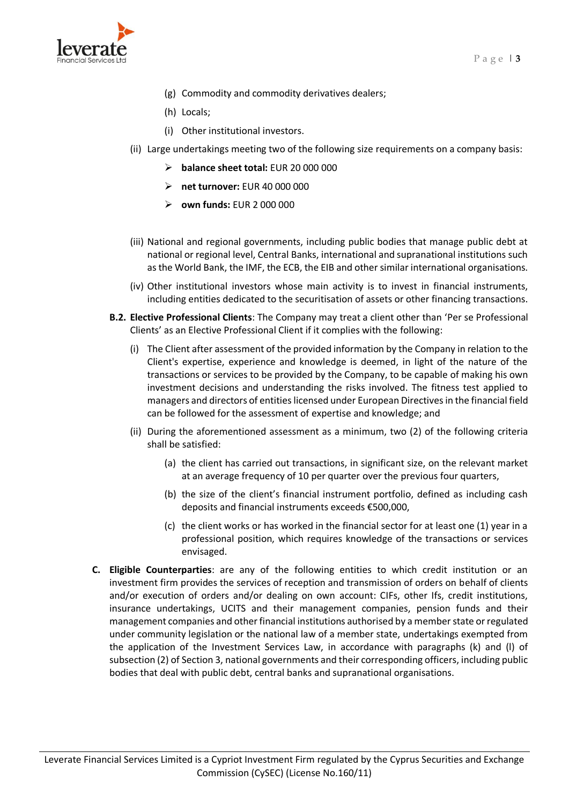

- (g) Commodity and commodity derivatives dealers;
- (h) Locals;
- (i) Other institutional investors.
- (ii) Large undertakings meeting two of the following size requirements on a company basis:
	- ➢ **balance sheet total:** EUR 20 000 000
	- ➢ **net turnover:** EUR 40 000 000
	- ➢ **own funds:** EUR 2 000 000
- (iii) National and regional governments, including public bodies that manage public debt at national or regional level, Central Banks, international and supranational institutions such as the World Bank, the IMF, the ECB, the EIB and other similar international organisations.
- (iv) Other institutional investors whose main activity is to invest in financial instruments, including entities dedicated to the securitisation of assets or other financing transactions.
- <span id="page-3-3"></span><span id="page-3-2"></span><span id="page-3-1"></span>**B.2. Elective Professional Clients**: The Company may treat a client other than 'Per se Professional Clients' as an Elective Professional Client if it complies with the following:
	- (i) The Client after assessment of the provided information by the Company in relation to the Client's expertise, experience and knowledge is deemed, in light of the nature of the transactions or services to be provided by the Company, to be capable of making his own investment decisions and understanding the risks involved. The fitness test applied to managers and directors of entities licensed under European Directives in the financial field can be followed for the assessment of expertise and knowledge; and
	- (ii) During the aforementioned assessment as a minimum, two (2) of the following criteria shall be satisfied:
		- (a) the client has carried out transactions, in significant size, on the relevant market at an average frequency of 10 per quarter over the previous four quarters,
		- (b) the size of the client's financial instrument portfolio, defined as including cash deposits and financial instruments exceeds €500,000,
		- (c) the client works or has worked in the financial sector for at least one (1) year in a professional position, which requires knowledge of the transactions or services envisaged.
- <span id="page-3-4"></span><span id="page-3-0"></span>**C. Eligible Counterparties**: are any of the following entities to which credit institution or an investment firm provides the services of reception and transmission of orders on behalf of clients and/or execution of orders and/or dealing on own account: CIFs, other Ifs, credit institutions, insurance undertakings, UCITS and their management companies, pension funds and their management companies and other financial institutions authorised by a member state or regulated under community legislation or the national law of a member state, undertakings exempted from the application of the Investment Services Law, in accordance with paragraphs (k) and (l) of subsection (2) of Section 3, national governments and their corresponding officers, including public bodies that deal with public debt, central banks and supranational organisations.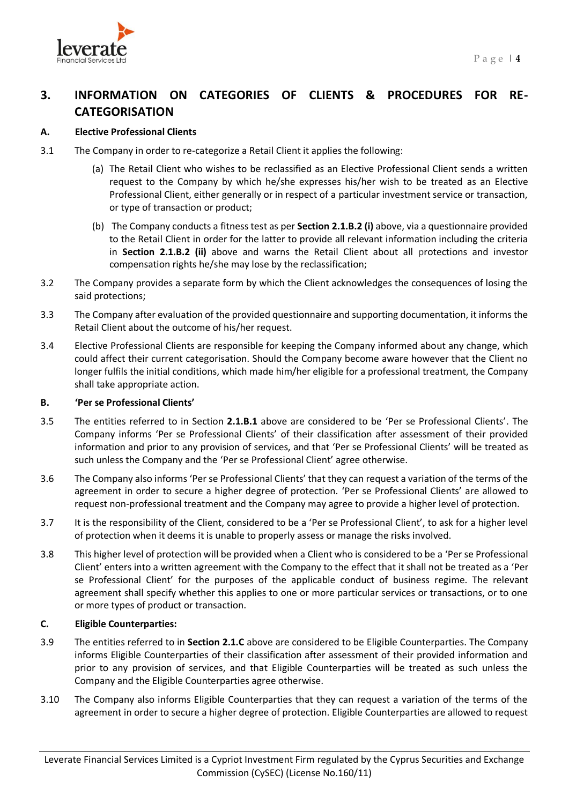

# **3. INFORMATION ON CATEGORIES OF CLIENTS & PROCEDURES FOR RE-CATEGORISATION**

# <span id="page-4-0"></span>**A. Elective Professional Clients**

- 3.1 The Company in order to re-categorize a Retail Client it applies the following:
	- (a) The Retail Client who wishes to be reclassified as an Elective Professional Client sends a written request to the Company by which he/she expresses his/her wish to be treated as an Elective Professional Client, either generally or in respect of a particular investment service or transaction, or type of transaction or product;
	- (b) The Company conducts a fitness test as per **Section [2.1](#page-2-2)[.B.2](#page-3-1) [\(i\)](#page-3-2)** above, via a questionnaire provided to the Retail Client in order for the latter to provide all relevant information including the criteria in **Section [2.1](#page-2-2)[.B.2](#page-3-1) [\(ii\)](#page-3-3)** above and warns the Retail Client about all protections and investor compensation rights he/she may lose by the reclassification;
- 3.2 The Company provides a separate form by which the Client acknowledges the consequences of losing the said protections;
- 3.3 The Company after evaluation of the provided questionnaire and supporting documentation, it informs the Retail Client about the outcome of his/her request.
- 3.4 Elective Professional Clients are responsible for keeping the Company informed about any change, which could affect their current categorisation. Should the Company become aware however that the Client no longer fulfils the initial conditions, which made him/her eligible for a professional treatment, the Company shall take appropriate action.

### **B. 'Per se Professional Clients'**

- 3.5 The entities referred to in Section **[2.1.](#page-2-2)[B.1](#page-2-3)** above are considered to be 'Per se Professional Clients'. The Company informs 'Per se Professional Clients' of their classification after assessment of their provided information and prior to any provision of services, and that 'Per se Professional Clients' will be treated as such unless the Company and the 'Per se Professional Client' agree otherwise.
- 3.6 The Company also informs 'Per se Professional Clients' that they can request a variation of the terms of the agreement in order to secure a higher degree of protection. 'Per se Professional Clients' are allowed to request non-professional treatment and the Company may agree to provide a higher level of protection.
- 3.7 It is the responsibility of the Client, considered to be a 'Per se Professional Client', to ask for a higher level of protection when it deems it is unable to properly assess or manage the risks involved.
- 3.8 This higher level of protection will be provided when a Client who is considered to be a 'Per se Professional Client' enters into a written agreement with the Company to the effect that it shall not be treated as a 'Per se Professional Client' for the purposes of the applicable conduct of business regime. The relevant agreement shall specify whether this applies to one or more particular services or transactions, or to one or more types of product or transaction.

# <span id="page-4-1"></span>**C. Eligible Counterparties:**

- 3.9 The entities referred to in **Section [2.1.](#page-2-2)[C](#page-3-4)** above are considered to be Eligible Counterparties. The Company informs Eligible Counterparties of their classification after assessment of their provided information and prior to any provision of services, and that Eligible Counterparties will be treated as such unless the Company and the Eligible Counterparties agree otherwise.
- 3.10 The Company also informs Eligible Counterparties that they can request a variation of the terms of the agreement in order to secure a higher degree of protection. Eligible Counterparties are allowed to request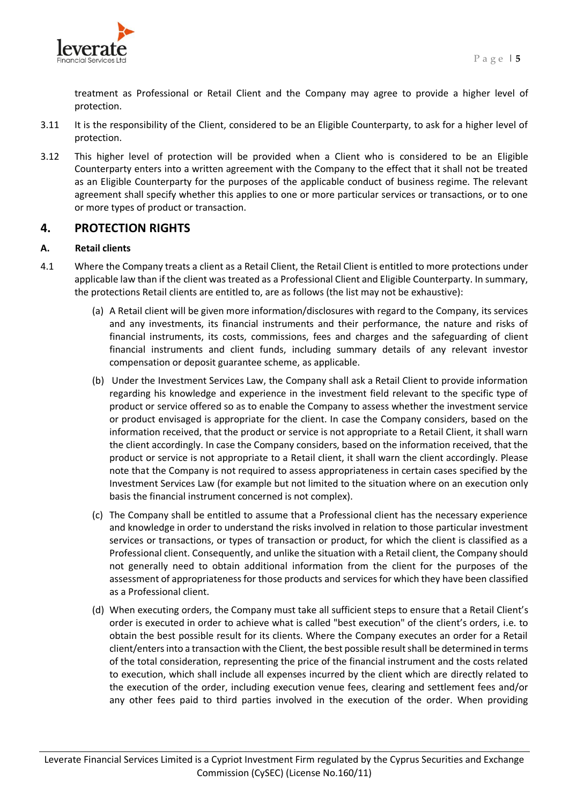

treatment as Professional or Retail Client and the Company may agree to provide a higher level of protection.

- 3.11 It is the responsibility of the Client, considered to be an Eligible Counterparty, to ask for a higher level of protection.
- 3.12 This higher level of protection will be provided when a Client who is considered to be an Eligible Counterparty enters into a written agreement with the Company to the effect that it shall not be treated as an Eligible Counterparty for the purposes of the applicable conduct of business regime. The relevant agreement shall specify whether this applies to one or more particular services or transactions, or to one or more types of product or transaction.

# <span id="page-5-0"></span>**4. PROTECTION RIGHTS**

#### <span id="page-5-1"></span>**A. Retail clients**

- 4.1 Where the Company treats a client as a Retail Client, the Retail Client is entitled to more protections under applicable law than if the client was treated as a Professional Client and Eligible Counterparty. In summary, the protections Retail clients are entitled to, are as follows (the list may not be exhaustive):
	- (a) A Retail client will be given more information/disclosures with regard to the Company, its services and any investments, its financial instruments and their performance, the nature and risks of financial instruments, its costs, commissions, fees and charges and the safeguarding of client financial instruments and client funds, including summary details of any relevant investor compensation or deposit guarantee scheme, as applicable.
	- (b) Under the Investment Services Law, the Company shall ask a Retail Client to provide information regarding his knowledge and experience in the investment field relevant to the specific type of product or service offered so as to enable the Company to assess whether the investment service or product envisaged is appropriate for the client. In case the Company considers, based on the information received, that the product or service is not appropriate to a Retail Client, it shall warn the client accordingly. In case the Company considers, based on the information received, that the product or service is not appropriate to a Retail client, it shall warn the client accordingly. Please note that the Company is not required to assess appropriateness in certain cases specified by the Investment Services Law (for example but not limited to the situation where on an execution only basis the financial instrument concerned is not complex).
	- (c) The Company shall be entitled to assume that a Professional client has the necessary experience and knowledge in order to understand the risks involved in relation to those particular investment services or transactions, or types of transaction or product, for which the client is classified as a Professional client. Consequently, and unlike the situation with a Retail client, the Company should not generally need to obtain additional information from the client for the purposes of the assessment of appropriateness for those products and services for which they have been classified as a Professional client.
	- (d) When executing orders, the Company must take all sufficient steps to ensure that a Retail Client's order is executed in order to achieve what is called "best execution" of the client's orders, i.e. to obtain the best possible result for its clients. Where the Company executes an order for a Retail client/enters into a transaction with the Client, the best possible result shall be determined in terms of the total consideration, representing the price of the financial instrument and the costs related to execution, which shall include all expenses incurred by the client which are directly related to the execution of the order, including execution venue fees, clearing and settlement fees and/or any other fees paid to third parties involved in the execution of the order. When providing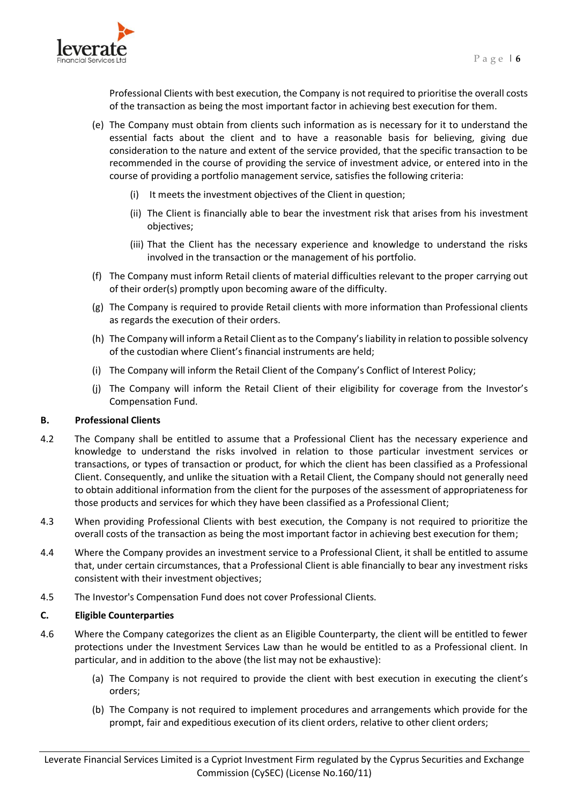

Professional Clients with best execution, the Company is not required to prioritise the overall costs of the transaction as being the most important factor in achieving best execution for them.

- (e) The Company must obtain from clients such information as is necessary for it to understand the essential facts about the client and to have a reasonable basis for believing, giving due consideration to the nature and extent of the service provided, that the specific transaction to be recommended in the course of providing the service of investment advice, or entered into in the course of providing a portfolio management service, satisfies the following criteria:
	- (i) It meets the investment objectives of the Client in question;
	- (ii) The Client is financially able to bear the investment risk that arises from his investment objectives;
	- (iii) That the Client has the necessary experience and knowledge to understand the risks involved in the transaction or the management of his portfolio.
- (f) The Company must inform Retail clients of material difficulties relevant to the proper carrying out of their order(s) promptly upon becoming aware of the difficulty.
- (g) The Company is required to provide Retail clients with more information than Professional clients as regards the execution of their orders.
- (h) The Company will inform a Retail Client as to the Company's liability in relation to possible solvency of the custodian where Client's financial instruments are held;
- (i) The Company will inform the Retail Client of the Company's Conflict of Interest Policy;
- (j) The Company will inform the Retail Client of their eligibility for coverage from the Investor's Compensation Fund.

#### <span id="page-6-0"></span>**B. Professional Clients**

- 4.2 The Company shall be entitled to assume that a Professional Client has the necessary experience and knowledge to understand the risks involved in relation to those particular investment services or transactions, or types of transaction or product, for which the client has been classified as a Professional Client. Consequently, and unlike the situation with a Retail Client, the Company should not generally need to obtain additional information from the client for the purposes of the assessment of appropriateness for those products and services for which they have been classified as a Professional Client;
- 4.3 When providing Professional Clients with best execution, the Company is not required to prioritize the overall costs of the transaction as being the most important factor in achieving best execution for them;
- 4.4 Where the Company provides an investment service to a Professional Client, it shall be entitled to assume that, under certain circumstances, that a Professional Client is able financially to bear any investment risks consistent with their investment objectives;
- 4.5 The Investor's Compensation Fund does not cover Professional Clients.

#### <span id="page-6-1"></span>**C. Eligible Counterparties**

- 4.6 Where the Company categorizes the client as an Eligible Counterparty, the client will be entitled to fewer protections under the Investment Services Law than he would be entitled to as a Professional client. In particular, and in addition to the above (the list may not be exhaustive):
	- (a) The Company is not required to provide the client with best execution in executing the client's orders;
	- (b) The Company is not required to implement procedures and arrangements which provide for the prompt, fair and expeditious execution of its client orders, relative to other client orders;